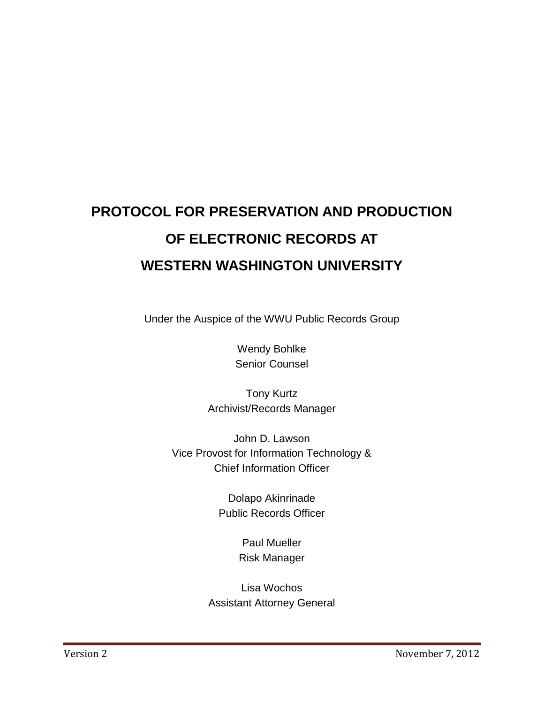# **PROTOCOL FOR PRESERVATION AND PRODUCTION OF ELECTRONIC RECORDS AT WESTERN WASHINGTON UNIVERSITY**

Under the Auspice of the WWU Public Records Group

Wendy Bohlke Senior Counsel

Tony Kurtz Archivist/Records Manager

John D. Lawson Vice Provost for Information Technology & Chief Information Officer

> Dolapo Akinrinade Public Records Officer

> > Paul Mueller Risk Manager

Lisa Wochos Assistant Attorney General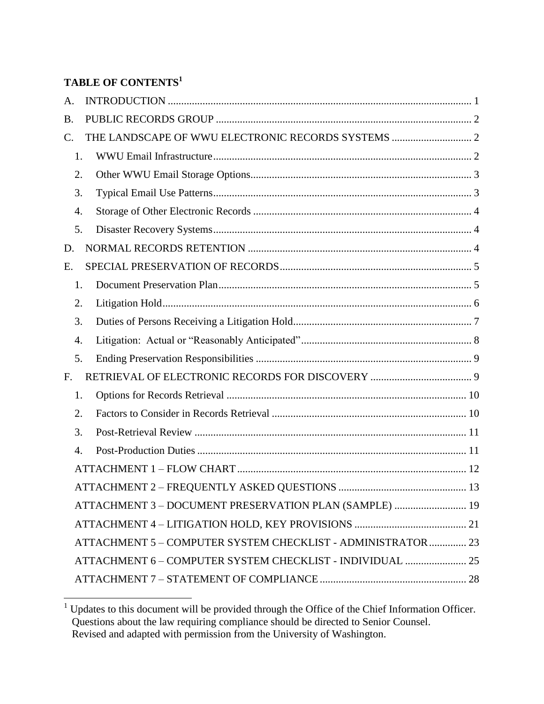# **TABLE OF CONTENTS<sup>1</sup>**

| A.        |                                                              |  |
|-----------|--------------------------------------------------------------|--|
| <b>B.</b> |                                                              |  |
| C.        |                                                              |  |
| 1.        |                                                              |  |
| 2.        |                                                              |  |
| 3.        |                                                              |  |
| 4.        |                                                              |  |
| 5.        |                                                              |  |
| D.        |                                                              |  |
| Ε.        |                                                              |  |
| 1.        |                                                              |  |
| 2.        |                                                              |  |
| 3.        |                                                              |  |
| 4.        |                                                              |  |
| 5.        |                                                              |  |
| F.        |                                                              |  |
| 1.        |                                                              |  |
| 2.        |                                                              |  |
| 3.        |                                                              |  |
| 4.        |                                                              |  |
|           |                                                              |  |
|           |                                                              |  |
|           | ATTACHMENT 3 - DOCUMENT PRESERVATION PLAN (SAMPLE)  19       |  |
|           |                                                              |  |
|           | ATTACHMENT 5 - COMPUTER SYSTEM CHECKLIST - ADMINISTRATOR  23 |  |
|           | ATTACHMENT 6 - COMPUTER SYSTEM CHECKLIST - INDIVIDUAL  25    |  |
|           |                                                              |  |

 $\overline{a}$  $1$  Updates to this document will be provided through the Office of the Chief Information Officer. Questions about the law requiring compliance should be directed to Senior Counsel. Revised and adapted with permission from the University of Washington.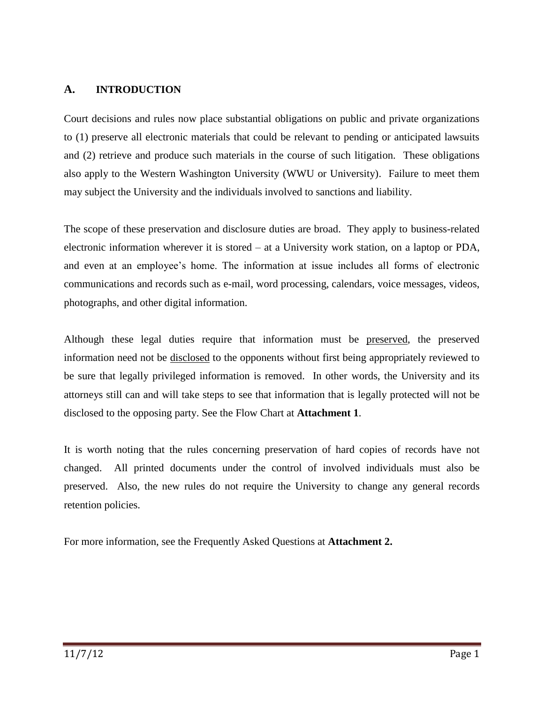#### <span id="page-3-0"></span>**A. INTRODUCTION**

Court decisions and rules now place substantial obligations on public and private organizations to (1) preserve all electronic materials that could be relevant to pending or anticipated lawsuits and (2) retrieve and produce such materials in the course of such litigation. These obligations also apply to the Western Washington University (WWU or University). Failure to meet them may subject the University and the individuals involved to sanctions and liability.

The scope of these preservation and disclosure duties are broad. They apply to business-related electronic information wherever it is stored – at a University work station, on a laptop or PDA, and even at an employee's home. The information at issue includes all forms of electronic communications and records such as e-mail, word processing, calendars, voice messages, videos, photographs, and other digital information.

Although these legal duties require that information must be preserved, the preserved information need not be disclosed to the opponents without first being appropriately reviewed to be sure that legally privileged information is removed. In other words, the University and its attorneys still can and will take steps to see that information that is legally protected will not be disclosed to the opposing party. See the Flow Chart at **Attachment 1**.

It is worth noting that the rules concerning preservation of hard copies of records have not changed. All printed documents under the control of involved individuals must also be preserved. Also, the new rules do not require the University to change any general records retention policies.

For more information, see the Frequently Asked Questions at **Attachment 2.**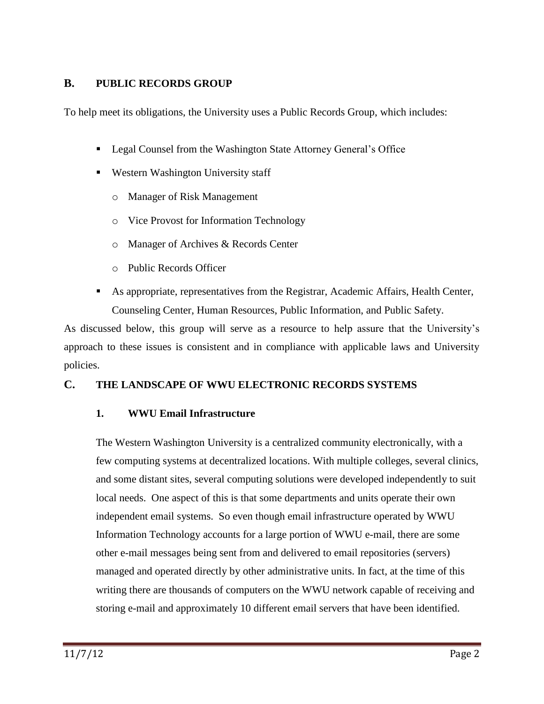# **B. PUBLIC RECORDS GROUP**

To help meet its obligations, the University uses a Public Records Group, which includes:

- Legal Counsel from the Washington State Attorney General's Office
- Western Washington University staff
	- o Manager of Risk Management
	- o Vice Provost for Information Technology
	- o Manager of Archives & Records Center
	- o Public Records Officer
- As appropriate, representatives from the Registrar, Academic Affairs, Health Center, Counseling Center, Human Resources, Public Information, and Public Safety.

As discussed below, this group will serve as a resource to help assure that the University's approach to these issues is consistent and in compliance with applicable laws and University policies.

#### <span id="page-4-1"></span><span id="page-4-0"></span>**C. THE LANDSCAPE OF WWU ELECTRONIC RECORDS SYSTEMS**

#### **1. WWU Email Infrastructure**

The Western Washington University is a centralized community electronically, with a few computing systems at decentralized locations. With multiple colleges, several clinics, and some distant sites, several computing solutions were developed independently to suit local needs. One aspect of this is that some departments and units operate their own independent email systems. So even though email infrastructure operated by WWU Information Technology accounts for a large portion of WWU e-mail, there are some other e-mail messages being sent from and delivered to email repositories (servers) managed and operated directly by other administrative units. In fact, at the time of this writing there are thousands of computers on the WWU network capable of receiving and storing e-mail and approximately 10 different email servers that have been identified.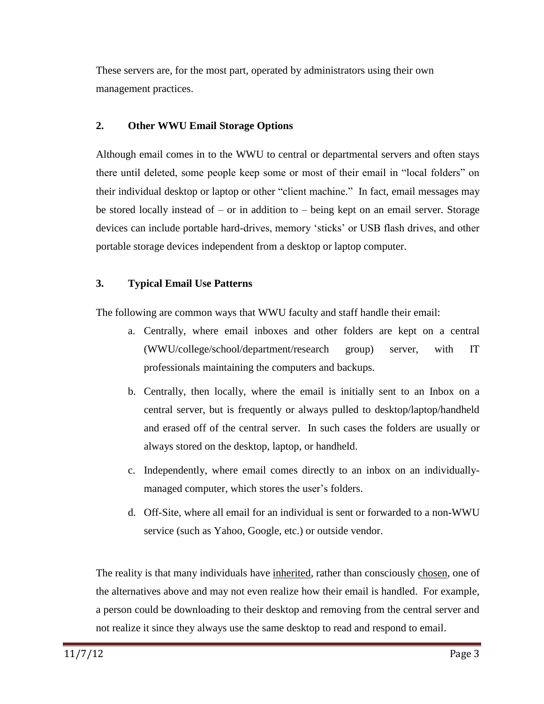These servers are, for the most part, operated by administrators using their own management practices.

#### <span id="page-5-0"></span>**2. Other WWU Email Storage Options**

Although email comes in to the WWU to central or departmental servers and often stays there until deleted, some people keep some or most of their email in "local folders" on their individual desktop or laptop or other "client machine." In fact, email messages may be stored locally instead of – or in addition to – being kept on an email server. Storage devices can include portable hard-drives, memory 'sticks' or USB flash drives, and other portable storage devices independent from a desktop or laptop computer.

# <span id="page-5-1"></span>**3. Typical Email Use Patterns**

The following are common ways that WWU faculty and staff handle their email:

- a. Centrally, where email inboxes and other folders are kept on a central (WWU/college/school/department/research group) server, with IT professionals maintaining the computers and backups.
- b. Centrally, then locally, where the email is initially sent to an Inbox on a central server, but is frequently or always pulled to desktop/laptop/handheld and erased off of the central server. In such cases the folders are usually or always stored on the desktop, laptop, or handheld.
- c. Independently, where email comes directly to an inbox on an individuallymanaged computer, which stores the user's folders.
- d. Off-Site, where all email for an individual is sent or forwarded to a non-WWU service (such as Yahoo, Google, etc.) or outside vendor.

The reality is that many individuals have inherited, rather than consciously chosen, one of the alternatives above and may not even realize how their email is handled. For example, a person could be downloading to their desktop and removing from the central server and not realize it since they always use the same desktop to read and respond to email.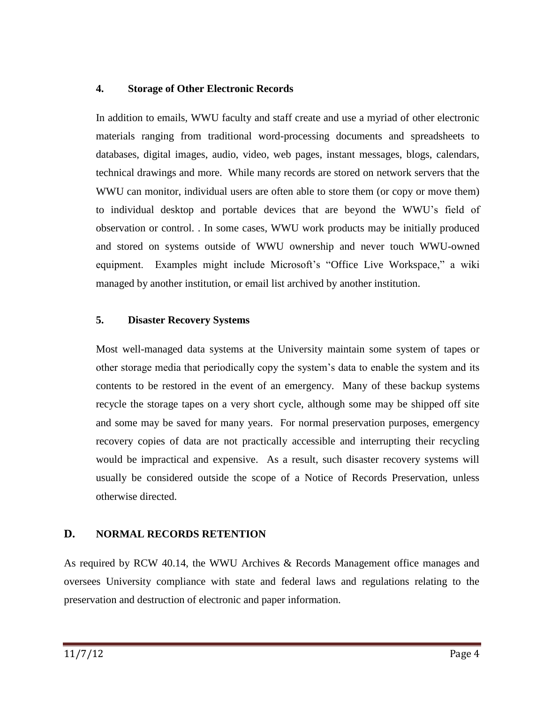#### <span id="page-6-0"></span>**4. Storage of Other Electronic Records**

In addition to emails, WWU faculty and staff create and use a myriad of other electronic materials ranging from traditional word-processing documents and spreadsheets to databases, digital images, audio, video, web pages, instant messages, blogs, calendars, technical drawings and more. While many records are stored on network servers that the WWU can monitor, individual users are often able to store them (or copy or move them) to individual desktop and portable devices that are beyond the WWU's field of observation or control. . In some cases, WWU work products may be initially produced and stored on systems outside of WWU ownership and never touch WWU-owned equipment. Examples might include Microsoft's "Office Live Workspace," a wiki managed by another institution, or email list archived by another institution.

#### <span id="page-6-1"></span>**5. Disaster Recovery Systems**

Most well-managed data systems at the University maintain some system of tapes or other storage media that periodically copy the system's data to enable the system and its contents to be restored in the event of an emergency. Many of these backup systems recycle the storage tapes on a very short cycle, although some may be shipped off site and some may be saved for many years. For normal preservation purposes, emergency recovery copies of data are not practically accessible and interrupting their recycling would be impractical and expensive. As a result, such disaster recovery systems will usually be considered outside the scope of a Notice of Records Preservation, unless otherwise directed.

# <span id="page-6-2"></span>**D. NORMAL RECORDS RETENTION**

As required by RCW 40.14, the WWU Archives & Records Management office manages and oversees University compliance with state and federal laws and regulations relating to the preservation and destruction of electronic and paper information.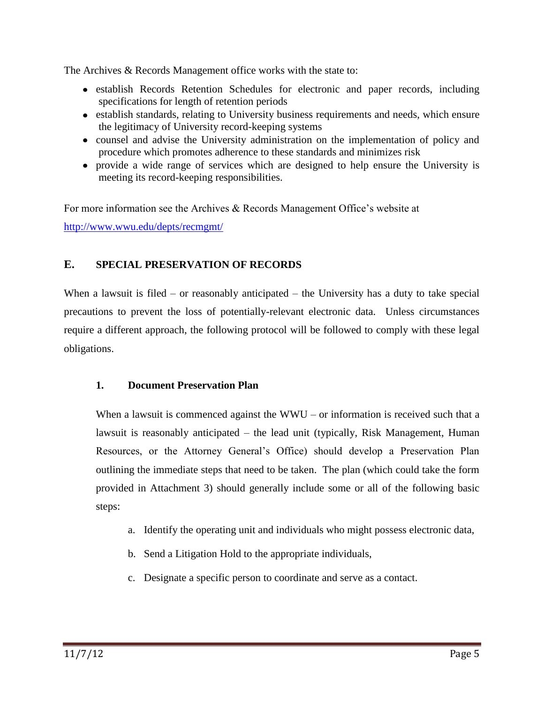The Archives & Records Management office works with the state to:

- establish Records Retention Schedules for electronic and paper records, including specifications for length of retention periods
- establish standards, relating to University business requirements and needs, which ensure the legitimacy of University record-keeping systems
- counsel and advise the University administration on the implementation of policy and procedure which promotes adherence to these standards and minimizes risk
- provide a wide range of services which are designed to help ensure the University is meeting its record-keeping responsibilities.

For more information see the Archives & Records Management Office's website at <http://www.wwu.edu/depts/recmgmt/>

# <span id="page-7-0"></span>**E. SPECIAL PRESERVATION OF RECORDS**

When a lawsuit is filed – or reasonably anticipated – the University has a duty to take special precautions to prevent the loss of potentially-relevant electronic data. Unless circumstances require a different approach, the following protocol will be followed to comply with these legal obligations.

#### <span id="page-7-1"></span>**1. Document Preservation Plan**

When a lawsuit is commenced against the  $WWU - or$  information is received such that a lawsuit is reasonably anticipated – the lead unit (typically, Risk Management, Human Resources, or the Attorney General's Office) should develop a Preservation Plan outlining the immediate steps that need to be taken. The plan (which could take the form provided in Attachment 3) should generally include some or all of the following basic steps:

- a. Identify the operating unit and individuals who might possess electronic data,
- b. Send a Litigation Hold to the appropriate individuals,
- c. Designate a specific person to coordinate and serve as a contact.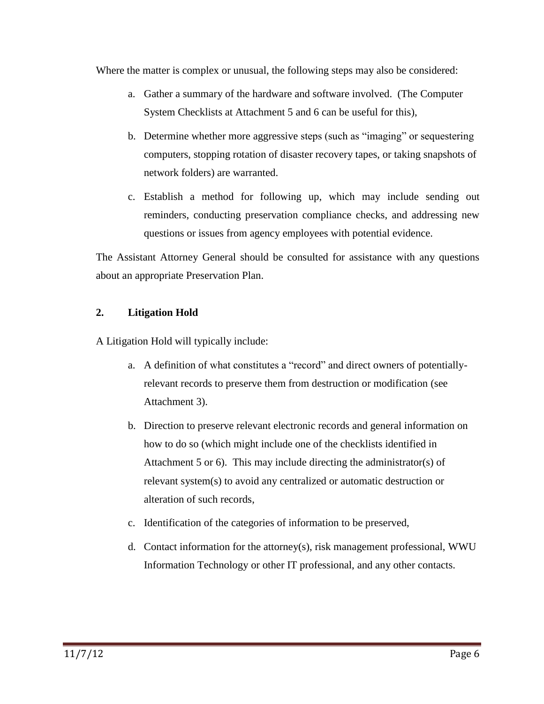Where the matter is complex or unusual, the following steps may also be considered:

- a. Gather a summary of the hardware and software involved. (The Computer System Checklists at Attachment 5 and 6 can be useful for this),
- b. Determine whether more aggressive steps (such as "imaging" or sequestering computers, stopping rotation of disaster recovery tapes, or taking snapshots of network folders) are warranted.
- c. Establish a method for following up, which may include sending out reminders, conducting preservation compliance checks, and addressing new questions or issues from agency employees with potential evidence.

The Assistant Attorney General should be consulted for assistance with any questions about an appropriate Preservation Plan.

# <span id="page-8-0"></span>**2. Litigation Hold**

A Litigation Hold will typically include:

- a. A definition of what constitutes a "record" and direct owners of potentiallyrelevant records to preserve them from destruction or modification (see Attachment 3).
- b. Direction to preserve relevant electronic records and general information on how to do so (which might include one of the checklists identified in Attachment 5 or 6). This may include directing the administrator(s) of relevant system(s) to avoid any centralized or automatic destruction or alteration of such records,
- c. Identification of the categories of information to be preserved,
- d. Contact information for the attorney(s), risk management professional, WWU Information Technology or other IT professional, and any other contacts.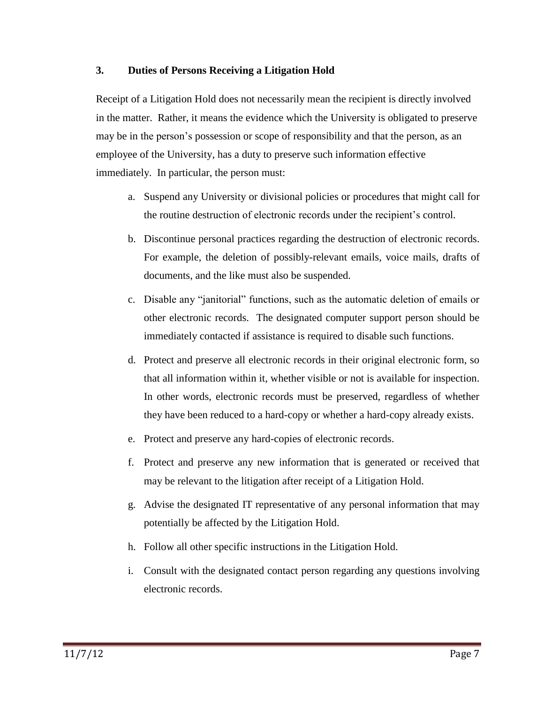#### <span id="page-9-0"></span>**3. Duties of Persons Receiving a Litigation Hold**

Receipt of a Litigation Hold does not necessarily mean the recipient is directly involved in the matter. Rather, it means the evidence which the University is obligated to preserve may be in the person's possession or scope of responsibility and that the person, as an employee of the University, has a duty to preserve such information effective immediately. In particular, the person must:

- a. Suspend any University or divisional policies or procedures that might call for the routine destruction of electronic records under the recipient's control.
- b. Discontinue personal practices regarding the destruction of electronic records. For example, the deletion of possibly-relevant emails, voice mails, drafts of documents, and the like must also be suspended.
- c. Disable any "janitorial" functions, such as the automatic deletion of emails or other electronic records. The designated computer support person should be immediately contacted if assistance is required to disable such functions.
- d. Protect and preserve all electronic records in their original electronic form, so that all information within it, whether visible or not is available for inspection. In other words, electronic records must be preserved, regardless of whether they have been reduced to a hard-copy or whether a hard-copy already exists.
- e. Protect and preserve any hard-copies of electronic records.
- f. Protect and preserve any new information that is generated or received that may be relevant to the litigation after receipt of a Litigation Hold.
- g. Advise the designated IT representative of any personal information that may potentially be affected by the Litigation Hold.
- h. Follow all other specific instructions in the Litigation Hold.
- i. Consult with the designated contact person regarding any questions involving electronic records.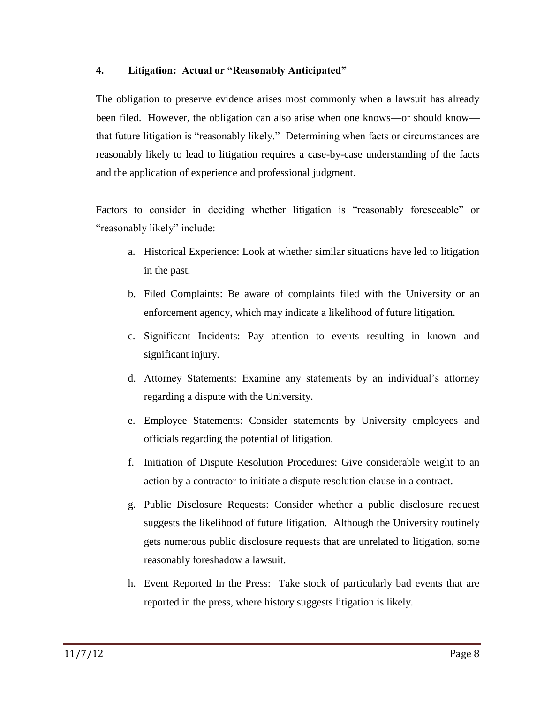#### <span id="page-10-0"></span>**4. Litigation: Actual or "Reasonably Anticipated"**

The obligation to preserve evidence arises most commonly when a lawsuit has already been filed. However, the obligation can also arise when one knows—or should know that future litigation is "reasonably likely." Determining when facts or circumstances are reasonably likely to lead to litigation requires a case-by-case understanding of the facts and the application of experience and professional judgment.

Factors to consider in deciding whether litigation is "reasonably foreseeable" or "reasonably likely" include:

- a. Historical Experience: Look at whether similar situations have led to litigation in the past.
- b. Filed Complaints: Be aware of complaints filed with the University or an enforcement agency, which may indicate a likelihood of future litigation.
- c. Significant Incidents: Pay attention to events resulting in known and significant injury.
- d. Attorney Statements: Examine any statements by an individual's attorney regarding a dispute with the University.
- e. Employee Statements: Consider statements by University employees and officials regarding the potential of litigation.
- f. Initiation of Dispute Resolution Procedures: Give considerable weight to an action by a contractor to initiate a dispute resolution clause in a contract.
- g. Public Disclosure Requests: Consider whether a public disclosure request suggests the likelihood of future litigation. Although the University routinely gets numerous public disclosure requests that are unrelated to litigation, some reasonably foreshadow a lawsuit.
- h. Event Reported In the Press: Take stock of particularly bad events that are reported in the press, where history suggests litigation is likely.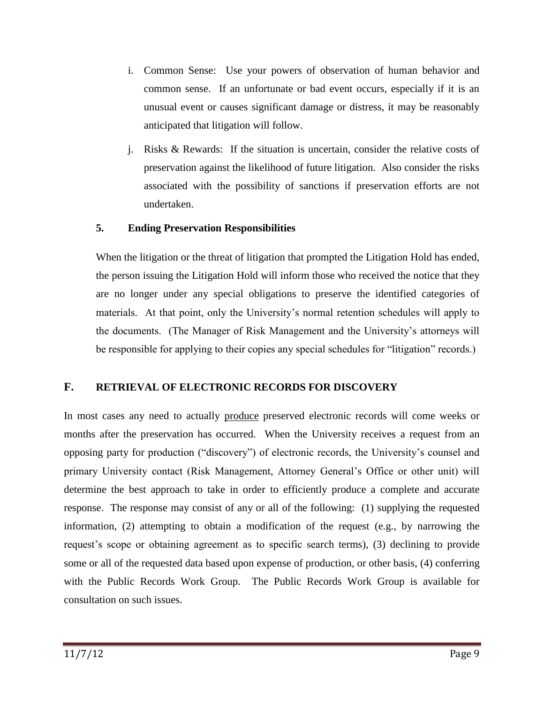- i. Common Sense: Use your powers of observation of human behavior and common sense. If an unfortunate or bad event occurs, especially if it is an unusual event or causes significant damage or distress, it may be reasonably anticipated that litigation will follow.
- j. Risks & Rewards: If the situation is uncertain, consider the relative costs of preservation against the likelihood of future litigation. Also consider the risks associated with the possibility of sanctions if preservation efforts are not undertaken.

#### <span id="page-11-0"></span>**5. Ending Preservation Responsibilities**

When the litigation or the threat of litigation that prompted the Litigation Hold has ended, the person issuing the Litigation Hold will inform those who received the notice that they are no longer under any special obligations to preserve the identified categories of materials. At that point, only the University's normal retention schedules will apply to the documents. (The Manager of Risk Management and the University's attorneys will be responsible for applying to their copies any special schedules for "litigation" records.)

# <span id="page-11-1"></span>**F. RETRIEVAL OF ELECTRONIC RECORDS FOR DISCOVERY**

In most cases any need to actually produce preserved electronic records will come weeks or months after the preservation has occurred. When the University receives a request from an opposing party for production ("discovery") of electronic records, the University's counsel and primary University contact (Risk Management, Attorney General's Office or other unit) will determine the best approach to take in order to efficiently produce a complete and accurate response. The response may consist of any or all of the following: (1) supplying the requested information, (2) attempting to obtain a modification of the request (e.g., by narrowing the request's scope or obtaining agreement as to specific search terms), (3) declining to provide some or all of the requested data based upon expense of production, or other basis, (4) conferring with the Public Records Work Group. The Public Records Work Group is available for consultation on such issues.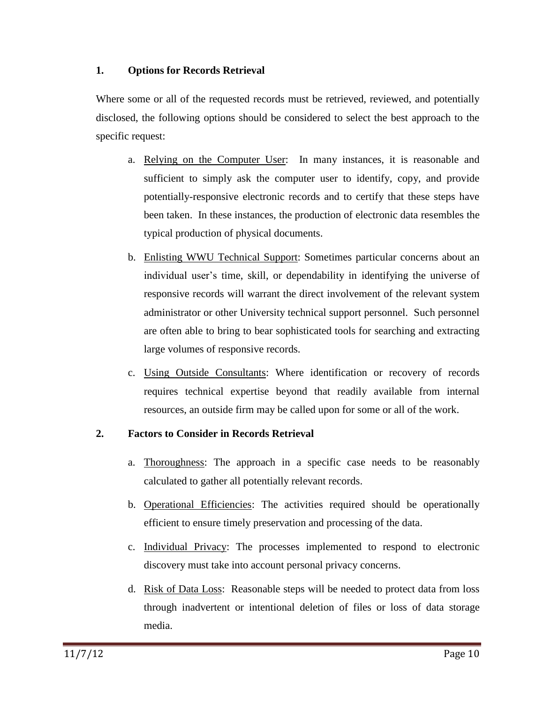#### <span id="page-12-0"></span>**1. Options for Records Retrieval**

Where some or all of the requested records must be retrieved, reviewed, and potentially disclosed, the following options should be considered to select the best approach to the specific request:

- a. Relying on the Computer User: In many instances, it is reasonable and sufficient to simply ask the computer user to identify, copy, and provide potentially-responsive electronic records and to certify that these steps have been taken. In these instances, the production of electronic data resembles the typical production of physical documents.
- b. Enlisting WWU Technical Support: Sometimes particular concerns about an individual user's time, skill, or dependability in identifying the universe of responsive records will warrant the direct involvement of the relevant system administrator or other University technical support personnel. Such personnel are often able to bring to bear sophisticated tools for searching and extracting large volumes of responsive records.
- c. Using Outside Consultants: Where identification or recovery of records requires technical expertise beyond that readily available from internal resources, an outside firm may be called upon for some or all of the work.

# <span id="page-12-1"></span>**2. Factors to Consider in Records Retrieval**

- a. Thoroughness: The approach in a specific case needs to be reasonably calculated to gather all potentially relevant records.
- b. Operational Efficiencies: The activities required should be operationally efficient to ensure timely preservation and processing of the data.
- c. Individual Privacy: The processes implemented to respond to electronic discovery must take into account personal privacy concerns.
- d. Risk of Data Loss: Reasonable steps will be needed to protect data from loss through inadvertent or intentional deletion of files or loss of data storage media.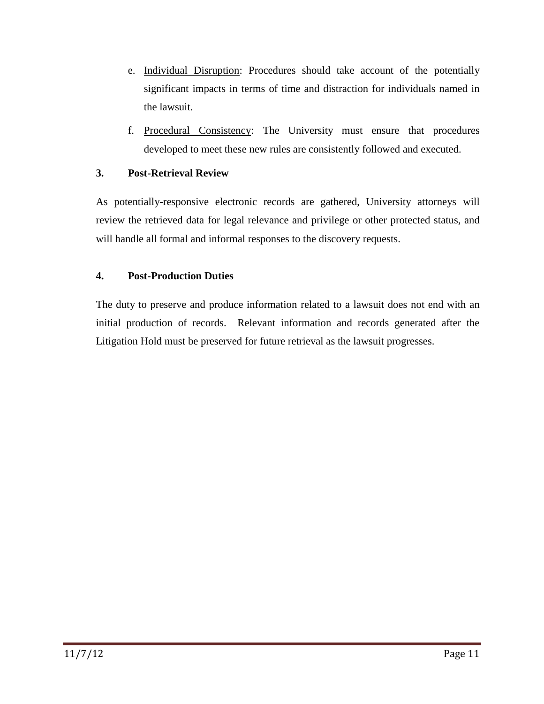- e. Individual Disruption: Procedures should take account of the potentially significant impacts in terms of time and distraction for individuals named in the lawsuit.
- f. Procedural Consistency: The University must ensure that procedures developed to meet these new rules are consistently followed and executed.

#### <span id="page-13-0"></span>**3. Post-Retrieval Review**

As potentially-responsive electronic records are gathered, University attorneys will review the retrieved data for legal relevance and privilege or other protected status, and will handle all formal and informal responses to the discovery requests.

# <span id="page-13-1"></span>**4. Post-Production Duties**

The duty to preserve and produce information related to a lawsuit does not end with an initial production of records. Relevant information and records generated after the Litigation Hold must be preserved for future retrieval as the lawsuit progresses.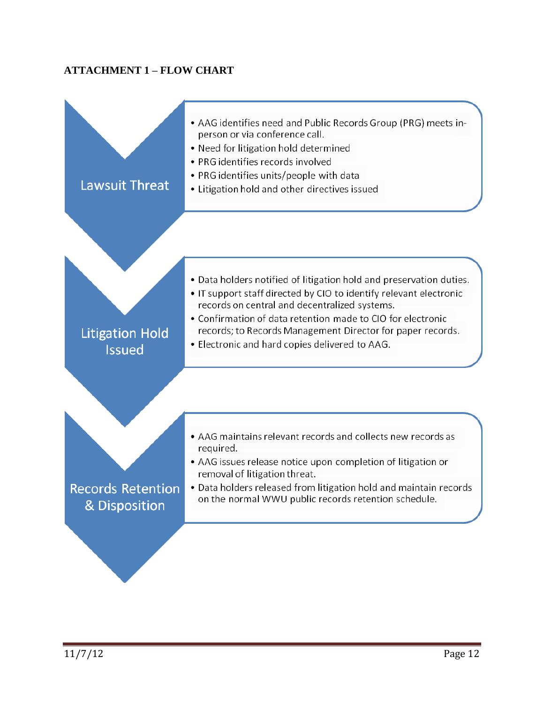# <span id="page-14-0"></span>**ATTACHMENT 1 – FLOW CHART**

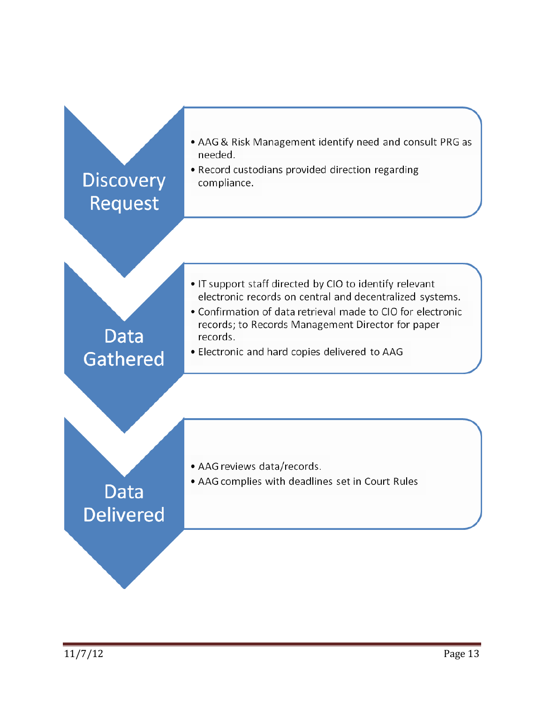<span id="page-15-0"></span>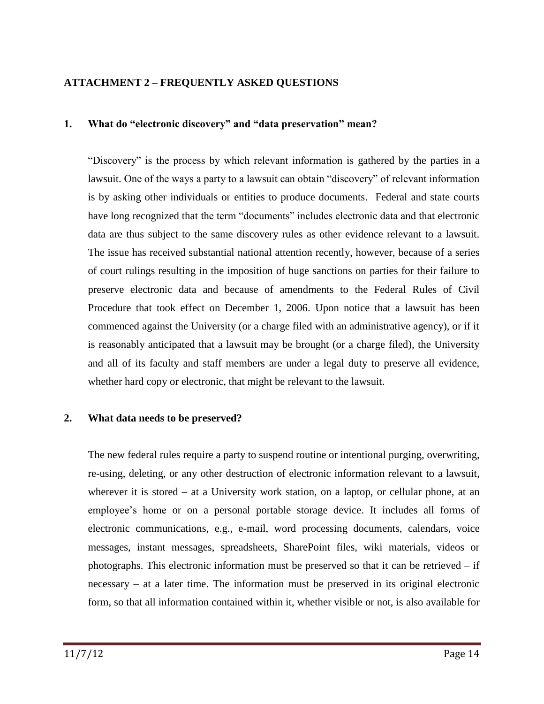## **ATTACHMENT 2 – FREQUENTLY ASKED QUESTIONS**

#### **1. What do "electronic discovery" and "data preservation" mean?**

―Discovery‖ is the process by which relevant information is gathered by the parties in a lawsuit. One of the ways a party to a lawsuit can obtain "discovery" of relevant information is by asking other individuals or entities to produce documents. Federal and state courts have long recognized that the term "documents" includes electronic data and that electronic data are thus subject to the same discovery rules as other evidence relevant to a lawsuit. The issue has received substantial national attention recently, however, because of a series of court rulings resulting in the imposition of huge sanctions on parties for their failure to preserve electronic data and because of amendments to the Federal Rules of Civil Procedure that took effect on December 1, 2006. Upon notice that a lawsuit has been commenced against the University (or a charge filed with an administrative agency), or if it is reasonably anticipated that a lawsuit may be brought (or a charge filed), the University and all of its faculty and staff members are under a legal duty to preserve all evidence, whether hard copy or electronic, that might be relevant to the lawsuit.

#### **2. What data needs to be preserved?**

The new federal rules require a party to suspend routine or intentional purging, overwriting, re-using, deleting, or any other destruction of electronic information relevant to a lawsuit, wherever it is stored – at a University work station, on a laptop, or cellular phone, at an employee's home or on a personal portable storage device. It includes all forms of electronic communications, e.g., e-mail, word processing documents, calendars, voice messages, instant messages, spreadsheets, SharePoint files, wiki materials, videos or photographs. This electronic information must be preserved so that it can be retrieved  $-$  if necessary – at a later time. The information must be preserved in its original electronic form, so that all information contained within it, whether visible or not, is also available for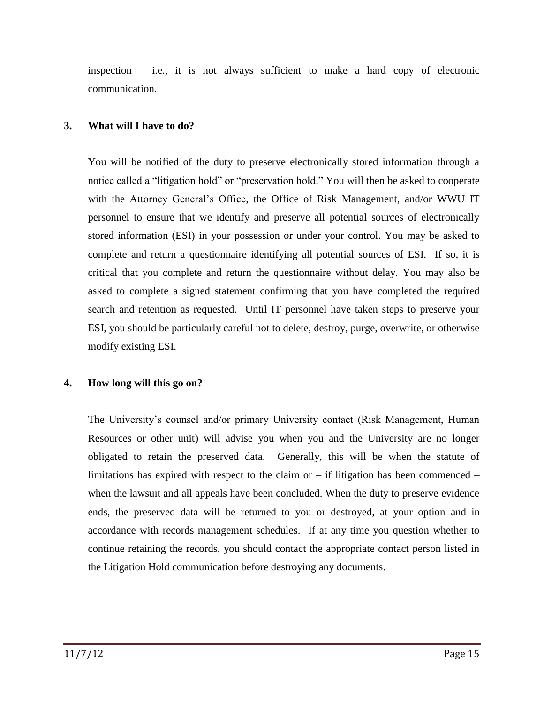inspection – i.e., it is not always sufficient to make a hard copy of electronic communication.

#### **3. What will I have to do?**

You will be notified of the duty to preserve electronically stored information through a notice called a "litigation hold" or "preservation hold." You will then be asked to cooperate with the Attorney General's Office, the Office of Risk Management, and/or WWU IT personnel to ensure that we identify and preserve all potential sources of electronically stored information (ESI) in your possession or under your control. You may be asked to complete and return a questionnaire identifying all potential sources of ESI. If so, it is critical that you complete and return the questionnaire without delay. You may also be asked to complete a signed statement confirming that you have completed the required search and retention as requested. Until IT personnel have taken steps to preserve your ESI, you should be particularly careful not to delete, destroy, purge, overwrite, or otherwise modify existing ESI.

#### **4. How long will this go on?**

The University's counsel and/or primary University contact (Risk Management, Human Resources or other unit) will advise you when you and the University are no longer obligated to retain the preserved data. Generally, this will be when the statute of limitations has expired with respect to the claim or  $-$  if litigation has been commenced  $$ when the lawsuit and all appeals have been concluded. When the duty to preserve evidence ends, the preserved data will be returned to you or destroyed, at your option and in accordance with records management schedules. If at any time you question whether to continue retaining the records, you should contact the appropriate contact person listed in the Litigation Hold communication before destroying any documents.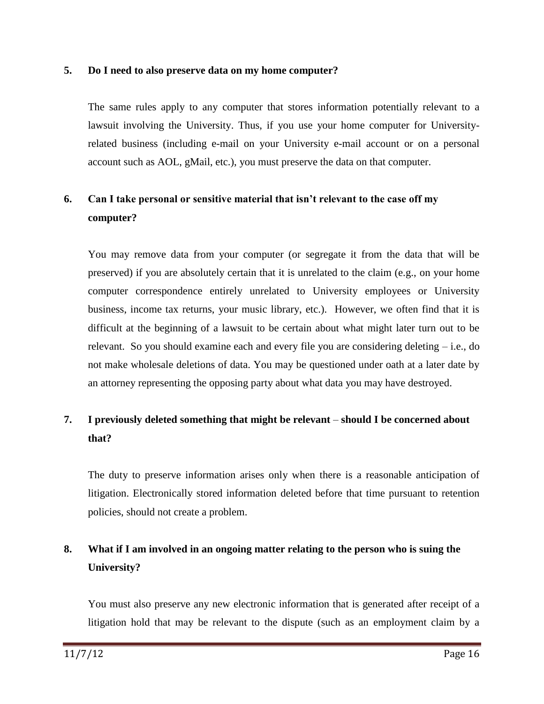#### **5. Do I need to also preserve data on my home computer?**

The same rules apply to any computer that stores information potentially relevant to a lawsuit involving the University. Thus, if you use your home computer for Universityrelated business (including e-mail on your University e-mail account or on a personal account such as AOL, gMail, etc.), you must preserve the data on that computer.

# **6. Can I take personal or sensitive material that isn't relevant to the case off my computer?**

You may remove data from your computer (or segregate it from the data that will be preserved) if you are absolutely certain that it is unrelated to the claim (e.g., on your home computer correspondence entirely unrelated to University employees or University business, income tax returns, your music library, etc.). However, we often find that it is difficult at the beginning of a lawsuit to be certain about what might later turn out to be relevant. So you should examine each and every file you are considering deleting – i.e., do not make wholesale deletions of data. You may be questioned under oath at a later date by an attorney representing the opposing party about what data you may have destroyed.

# **7. I previously deleted something that might be relevant** – **should I be concerned about that?**

The duty to preserve information arises only when there is a reasonable anticipation of litigation. Electronically stored information deleted before that time pursuant to retention policies, should not create a problem.

# **8. What if I am involved in an ongoing matter relating to the person who is suing the University?**

You must also preserve any new electronic information that is generated after receipt of a litigation hold that may be relevant to the dispute (such as an employment claim by a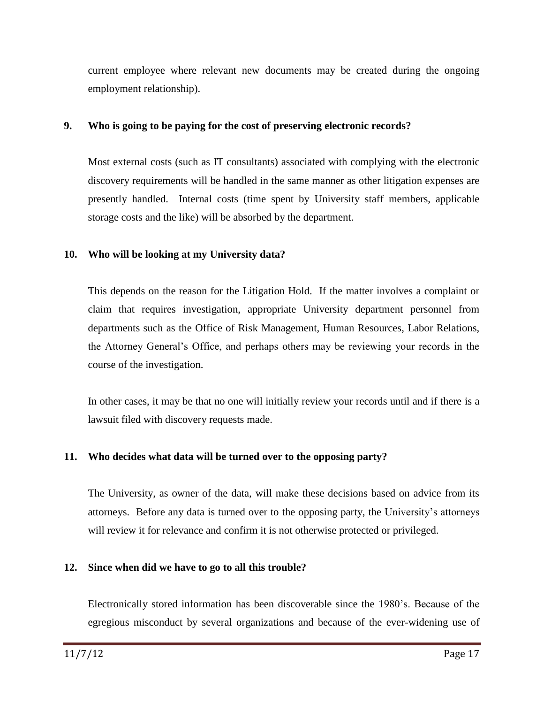current employee where relevant new documents may be created during the ongoing employment relationship).

#### **9. Who is going to be paying for the cost of preserving electronic records?**

Most external costs (such as IT consultants) associated with complying with the electronic discovery requirements will be handled in the same manner as other litigation expenses are presently handled. Internal costs (time spent by University staff members, applicable storage costs and the like) will be absorbed by the department.

#### **10. Who will be looking at my University data?**

This depends on the reason for the Litigation Hold. If the matter involves a complaint or claim that requires investigation, appropriate University department personnel from departments such as the Office of Risk Management, Human Resources, Labor Relations, the Attorney General's Office, and perhaps others may be reviewing your records in the course of the investigation.

In other cases, it may be that no one will initially review your records until and if there is a lawsuit filed with discovery requests made.

# **11. Who decides what data will be turned over to the opposing party?**

The University, as owner of the data, will make these decisions based on advice from its attorneys. Before any data is turned over to the opposing party, the University's attorneys will review it for relevance and confirm it is not otherwise protected or privileged.

# **12. Since when did we have to go to all this trouble?**

Electronically stored information has been discoverable since the 1980's. Because of the egregious misconduct by several organizations and because of the ever-widening use of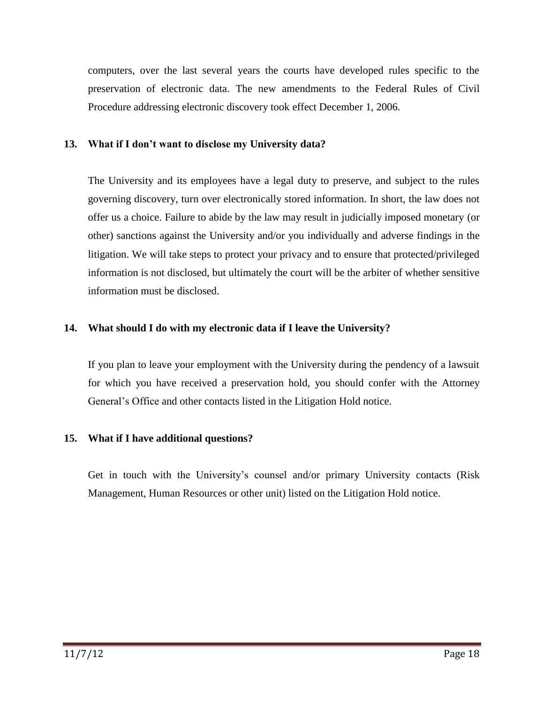computers, over the last several years the courts have developed rules specific to the preservation of electronic data. The new amendments to the Federal Rules of Civil Procedure addressing electronic discovery took effect December 1, 2006.

#### **13. What if I don't want to disclose my University data?**

The University and its employees have a legal duty to preserve, and subject to the rules governing discovery, turn over electronically stored information. In short, the law does not offer us a choice. Failure to abide by the law may result in judicially imposed monetary (or other) sanctions against the University and/or you individually and adverse findings in the litigation. We will take steps to protect your privacy and to ensure that protected/privileged information is not disclosed, but ultimately the court will be the arbiter of whether sensitive information must be disclosed.

#### **14. What should I do with my electronic data if I leave the University?**

If you plan to leave your employment with the University during the pendency of a lawsuit for which you have received a preservation hold, you should confer with the Attorney General's Office and other contacts listed in the Litigation Hold notice.

# **15. What if I have additional questions?**

Get in touch with the University's counsel and/or primary University contacts (Risk Management, Human Resources or other unit) listed on the Litigation Hold notice.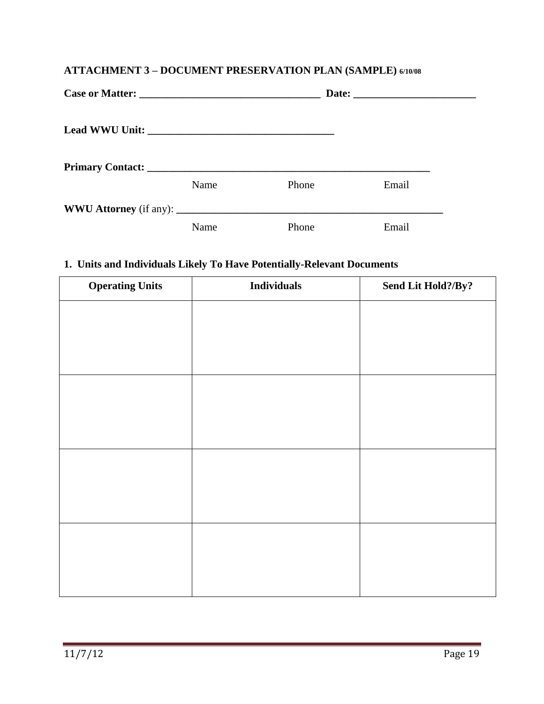# <span id="page-21-0"></span>**ATTACHMENT 3 – DOCUMENT PRESERVATION PLAN (SAMPLE) 6/10/08**

| Name | Phone | Email |  |
|------|-------|-------|--|
| Name | Phone | Email |  |

# **1. Units and Individuals Likely To Have Potentially-Relevant Documents**

| <b>Operating Units</b> | <b>Individuals</b> | Send Lit Hold?/By? |
|------------------------|--------------------|--------------------|
|                        |                    |                    |
|                        |                    |                    |
|                        |                    |                    |
|                        |                    |                    |
|                        |                    |                    |
|                        |                    |                    |
|                        |                    |                    |
|                        |                    |                    |
|                        |                    |                    |
|                        |                    |                    |
|                        |                    |                    |
|                        |                    |                    |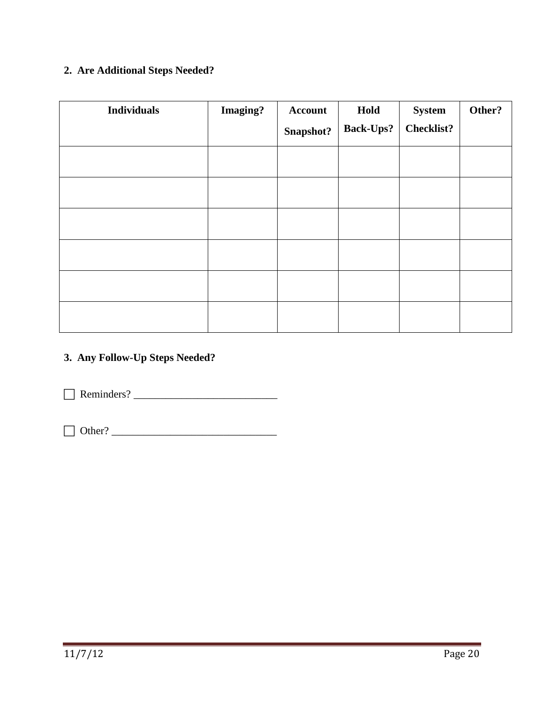# **2. Are Additional Steps Needed?**

| <b>Individuals</b> | <b>Imaging?</b> | <b>Account</b> | Hold             | <b>System</b>     | Other? |
|--------------------|-----------------|----------------|------------------|-------------------|--------|
|                    |                 | Snapshot?      | <b>Back-Ups?</b> | <b>Checklist?</b> |        |
|                    |                 |                |                  |                   |        |
|                    |                 |                |                  |                   |        |
|                    |                 |                |                  |                   |        |
|                    |                 |                |                  |                   |        |
|                    |                 |                |                  |                   |        |
|                    |                 |                |                  |                   |        |

# **3. Any Follow-Up Steps Needed?**

Reminders? \_\_\_\_\_\_\_\_\_\_\_\_\_\_\_\_\_\_\_\_\_\_\_\_\_\_\_

Other? \_\_\_\_\_\_\_\_\_\_\_\_\_\_\_\_\_\_\_\_\_\_\_\_\_\_\_\_\_\_\_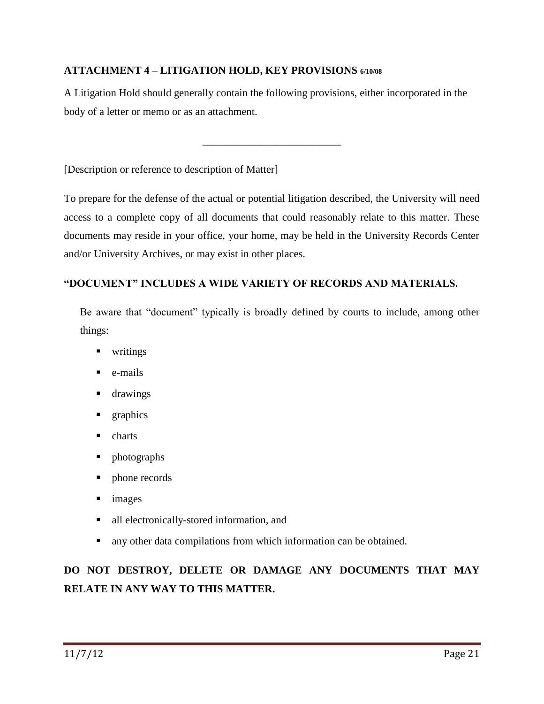# <span id="page-23-0"></span>**ATTACHMENT 4 – LITIGATION HOLD, KEY PROVISIONS 6/10/08**

A Litigation Hold should generally contain the following provisions, either incorporated in the body of a letter or memo or as an attachment.

\_\_\_\_\_\_\_\_\_\_\_\_\_\_\_\_\_\_\_\_\_\_\_\_\_\_

[Description or reference to description of Matter]

To prepare for the defense of the actual or potential litigation described, the University will need access to a complete copy of all documents that could reasonably relate to this matter. These documents may reside in your office, your home, may be held in the University Records Center and/or University Archives, or may exist in other places.

# **"DOCUMENT" INCLUDES A WIDE VARIETY OF RECORDS AND MATERIALS.**

Be aware that "document" typically is broadly defined by courts to include, among other things:

- **u** writings
- $\blacksquare$  e-mails
- **drawings**
- **graphics**
- charts
- photographs
- phone records
- **images**
- all electronically-stored information, and
- any other data compilations from which information can be obtained.

# **DO NOT DESTROY, DELETE OR DAMAGE ANY DOCUMENTS THAT MAY RELATE IN ANY WAY TO THIS MATTER.**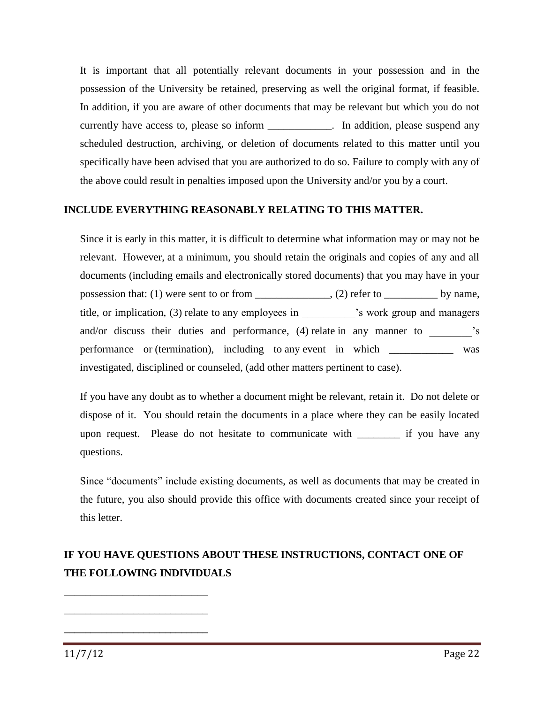It is important that all potentially relevant documents in your possession and in the possession of the University be retained, preserving as well the original format, if feasible. In addition, if you are aware of other documents that may be relevant but which you do not currently have access to, please so inform \_\_\_\_\_\_\_\_\_\_\_. In addition, please suspend any scheduled destruction, archiving, or deletion of documents related to this matter until you specifically have been advised that you are authorized to do so. Failure to comply with any of the above could result in penalties imposed upon the University and/or you by a court.

#### **INCLUDE EVERYTHING REASONABLY RELATING TO THIS MATTER.**

Since it is early in this matter, it is difficult to determine what information may or may not be relevant. However, at a minimum, you should retain the originals and copies of any and all documents (including emails and electronically stored documents) that you may have in your possession that: (1) were sent to or from  $\_\_\_\_\_$ , (2) refer to  $\_\_\_\_\_$  by name, title, or implication, (3) relate to any employees in  $\cdot$  is work group and managers and/or discuss their duties and performance, (4) relate in any manner to  $\overline{\phantom{a}}$ 's performance or (termination), including to any event in which \_\_\_\_\_\_\_\_\_\_\_\_\_ was investigated, disciplined or counseled, (add other matters pertinent to case).

If you have any doubt as to whether a document might be relevant, retain it. Do not delete or dispose of it. You should retain the documents in a place where they can be easily located upon request. Please do not hesitate to communicate with \_\_\_\_\_\_\_\_ if you have any questions.

Since "documents" include existing documents, as well as documents that may be created in the future, you also should provide this office with documents created since your receipt of this letter.

# **IF YOU HAVE QUESTIONS ABOUT THESE INSTRUCTIONS, CONTACT ONE OF THE FOLLOWING INDIVIDUALS**

11/7/12 Page 22

\_\_\_\_\_\_\_\_\_\_\_\_\_\_\_\_\_\_\_\_\_\_\_\_\_\_\_

\_\_\_\_\_\_\_\_\_\_\_\_\_\_\_\_\_\_\_\_\_\_\_\_\_\_\_

**\_\_\_\_\_\_\_\_\_\_\_\_\_\_\_\_\_\_\_\_\_\_\_\_\_\_\_**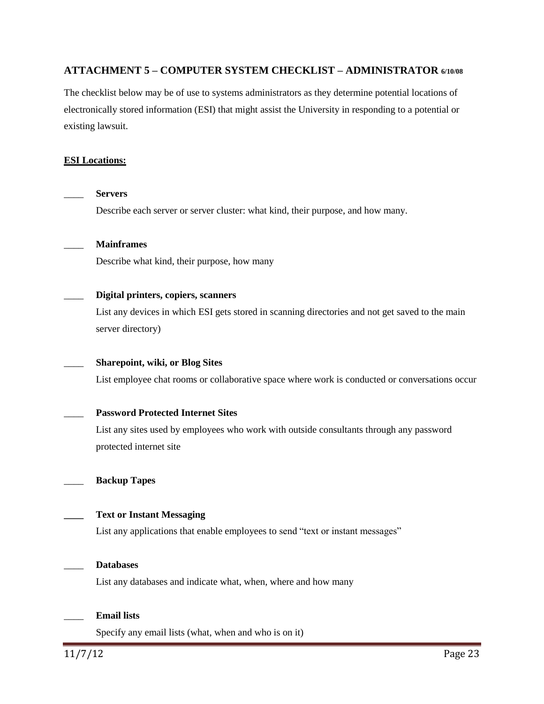#### <span id="page-25-0"></span>**ATTACHMENT 5 – COMPUTER SYSTEM CHECKLIST – ADMINISTRATOR 6/10/08**

The checklist below may be of use to systems administrators as they determine potential locations of electronically stored information (ESI) that might assist the University in responding to a potential or existing lawsuit.

#### **ESI Locations:**

\_\_\_\_ **Servers** Describe each server or server cluster: what kind, their purpose, and how many. \_\_\_\_ **Mainframes**  Describe what kind, their purpose, how many \_\_\_\_ **Digital printers, copiers, scanners**  List any devices in which ESI gets stored in scanning directories and not get saved to the main server directory) \_\_\_\_ **Sharepoint, wiki, or Blog Sites**  List employee chat rooms or collaborative space where work is conducted or conversations occur \_\_\_\_ **Password Protected Internet Sites** List any sites used by employees who work with outside consultants through any password protected internet site \_\_\_\_ **Backup Tapes \_\_\_\_ Text or Instant Messaging** List any applications that enable employees to send "text or instant messages" \_\_\_\_ **Databases** List any databases and indicate what, when, where and how many \_\_\_\_ **Email lists** Specify any email lists (what, when and who is on it)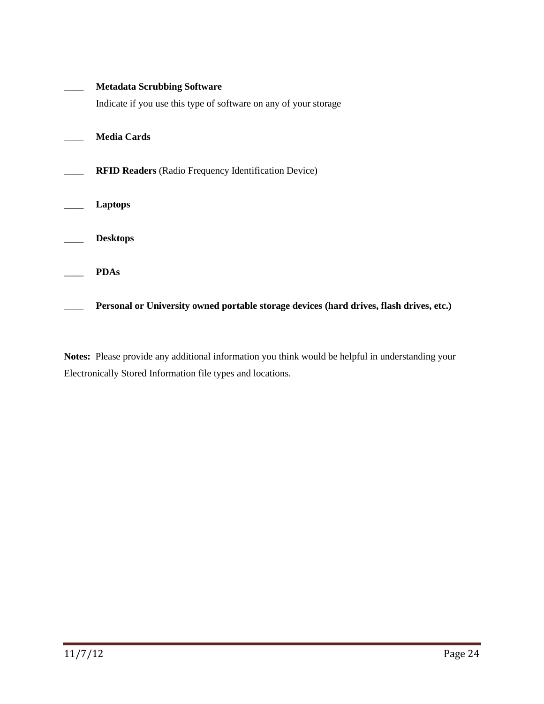| <b>Metadata Scrubbing Software</b>                                                      |
|-----------------------------------------------------------------------------------------|
| Indicate if you use this type of software on any of your storage                        |
| <b>Media Cards</b>                                                                      |
| <b>RFID Readers</b> (Radio Frequency Identification Device)                             |
| Laptops                                                                                 |
| <b>Desktops</b>                                                                         |
| <b>PDAs</b>                                                                             |
| Personal or University owned portable storage devices (hard drives, flash drives, etc.) |

<span id="page-26-0"></span>**Notes:** Please provide any additional information you think would be helpful in understanding your Electronically Stored Information file types and locations.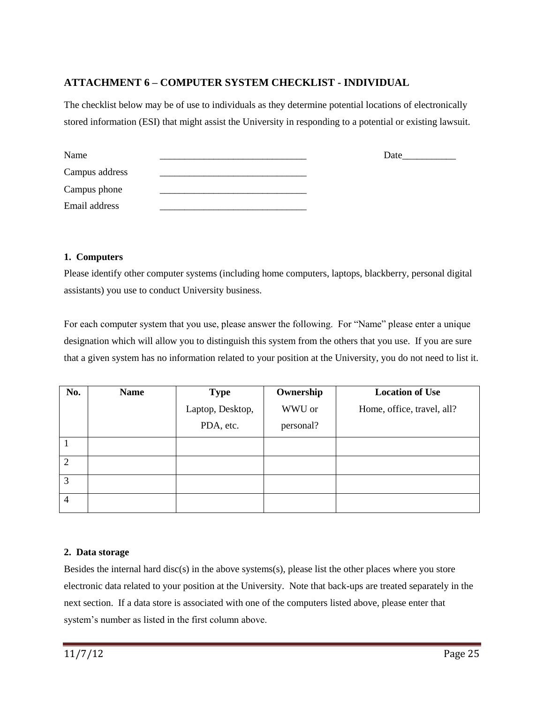## **ATTACHMENT 6 – COMPUTER SYSTEM CHECKLIST - INDIVIDUAL**

The checklist below may be of use to individuals as they determine potential locations of electronically stored information (ESI) that might assist the University in responding to a potential or existing lawsuit.

| Name           | Date |
|----------------|------|
| Campus address |      |
| Campus phone   |      |
| Email address  |      |

#### **1. Computers**

Please identify other computer systems (including home computers, laptops, blackberry, personal digital assistants) you use to conduct University business.

For each computer system that you use, please answer the following. For "Name" please enter a unique designation which will allow you to distinguish this system from the others that you use. If you are sure that a given system has no information related to your position at the University, you do not need to list it.

| No.            | <b>Name</b> | <b>Type</b>      | Ownership | <b>Location of Use</b>     |
|----------------|-------------|------------------|-----------|----------------------------|
|                |             | Laptop, Desktop, | WWU or    | Home, office, travel, all? |
|                |             | PDA, etc.        | personal? |                            |
|                |             |                  |           |                            |
| $\overline{2}$ |             |                  |           |                            |
| 3              |             |                  |           |                            |
| $\overline{4}$ |             |                  |           |                            |

#### **2. Data storage**

Besides the internal hard disc(s) in the above systems(s), please list the other places where you store electronic data related to your position at the University. Note that back-ups are treated separately in the next section. If a data store is associated with one of the computers listed above, please enter that system's number as listed in the first column above.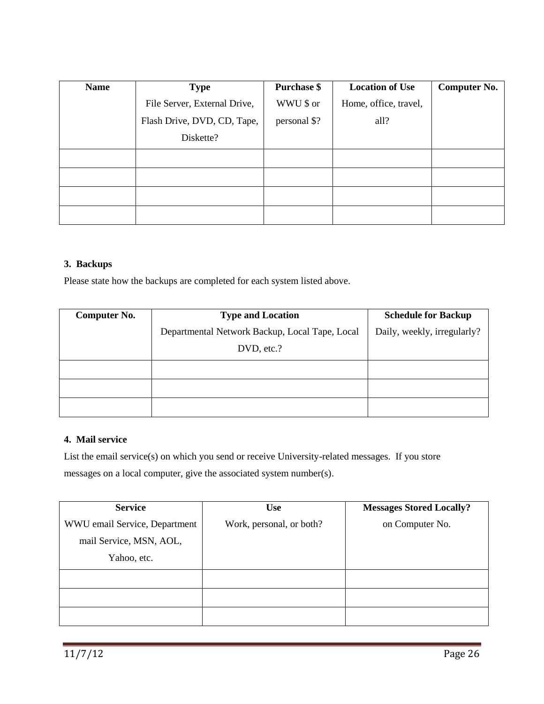| <b>Name</b> | <b>Type</b>                  | <b>Purchase \$</b> | <b>Location of Use</b> | Computer No. |
|-------------|------------------------------|--------------------|------------------------|--------------|
|             | File Server, External Drive, | WWU \$ or          | Home, office, travel,  |              |
|             | Flash Drive, DVD, CD, Tape,  | personal \$?       | all?                   |              |
|             | Diskette?                    |                    |                        |              |
|             |                              |                    |                        |              |
|             |                              |                    |                        |              |
|             |                              |                    |                        |              |
|             |                              |                    |                        |              |

#### **3. Backups**

Please state how the backups are completed for each system listed above.

| <b>Computer No.</b> | <b>Type and Location</b>                       | <b>Schedule for Backup</b>  |
|---------------------|------------------------------------------------|-----------------------------|
|                     | Departmental Network Backup, Local Tape, Local | Daily, weekly, irregularly? |
|                     | DVD, etc.?                                     |                             |
|                     |                                                |                             |
|                     |                                                |                             |
|                     |                                                |                             |

#### **4. Mail service**

List the email service(s) on which you send or receive University-related messages. If you store messages on a local computer, give the associated system number(s).

| <b>Service</b>                | <b>Use</b>               | <b>Messages Stored Locally?</b> |
|-------------------------------|--------------------------|---------------------------------|
| WWU email Service, Department | Work, personal, or both? | on Computer No.                 |
| mail Service, MSN, AOL,       |                          |                                 |
| Yahoo, etc.                   |                          |                                 |
|                               |                          |                                 |
|                               |                          |                                 |
|                               |                          |                                 |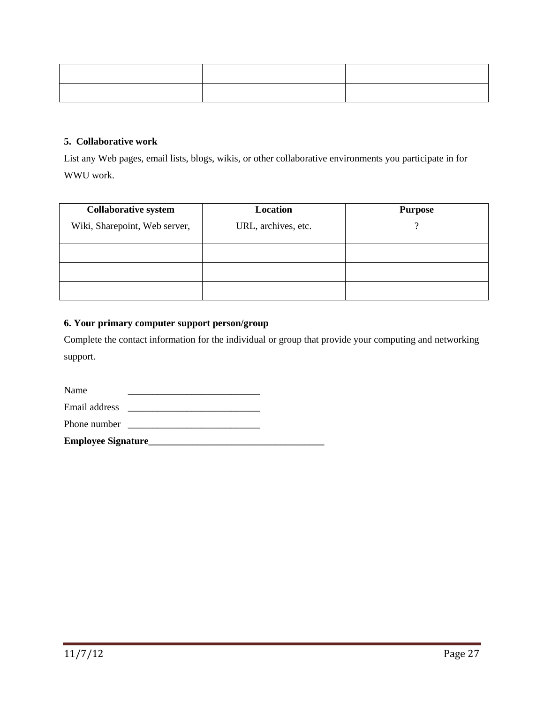#### **5. Collaborative work**

List any Web pages, email lists, blogs, wikis, or other collaborative environments you participate in for WWU work.

| <b>Collaborative system</b>   | Location            | <b>Purpose</b> |
|-------------------------------|---------------------|----------------|
| Wiki, Sharepoint, Web server, | URL, archives, etc. | റ              |
|                               |                     |                |
|                               |                     |                |
|                               |                     |                |

#### **6. Your primary computer support person/group**

Complete the contact information for the individual or group that provide your computing and networking support.

| <b>Employee Signature</b> |  |
|---------------------------|--|
| Phone number              |  |
| Email address             |  |
| Name                      |  |